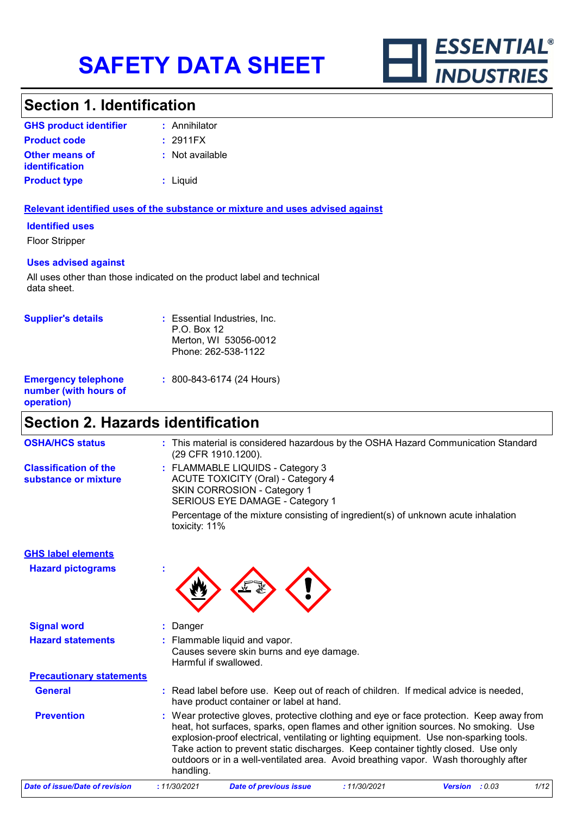

### **Section 1. Identification**

| <b>GHS product identifier</b>                  | : Annihilator   |
|------------------------------------------------|-----------------|
| <b>Product code</b>                            | : 2911FX        |
| <b>Other means of</b><br><b>identification</b> | : Not available |
| <b>Product type</b>                            | $:$ Liquid      |

#### **Relevant identified uses of the substance or mixture and uses advised against**

#### **Identified uses**

Floor Stripper

#### **Uses advised against**

All uses other than those indicated on the product label and technical data sheet.

| <b>Supplier's details</b>                                         | : Essential Industries, Inc.<br>$P.O.$ Box 12<br>Merton, WI 53056-0012<br>Phone: 262-538-1122 |
|-------------------------------------------------------------------|-----------------------------------------------------------------------------------------------|
| <b>Emergency telephone</b><br>number (with hours of<br>operation) | $: 800 - 843 - 6174 (24$ Hours)                                                               |

# **Section 2. Hazards identification**

| <b>OSHA/HCS status</b>                               | : This material is considered hazardous by the OSHA Hazard Communication Standard<br>(29 CFR 1910.1200).                                                                                                                                                                                                                                                                                                                                                         |
|------------------------------------------------------|------------------------------------------------------------------------------------------------------------------------------------------------------------------------------------------------------------------------------------------------------------------------------------------------------------------------------------------------------------------------------------------------------------------------------------------------------------------|
| <b>Classification of the</b><br>substance or mixture | : FLAMMABLE LIQUIDS - Category 3<br><b>ACUTE TOXICITY (Oral) - Category 4</b><br>SKIN CORROSION - Category 1<br>SERIOUS EYE DAMAGE - Category 1                                                                                                                                                                                                                                                                                                                  |
|                                                      | Percentage of the mixture consisting of ingredient(s) of unknown acute inhalation<br>toxicity: 11%                                                                                                                                                                                                                                                                                                                                                               |
| <b>GHS label elements</b>                            |                                                                                                                                                                                                                                                                                                                                                                                                                                                                  |
| <b>Hazard pictograms</b>                             |                                                                                                                                                                                                                                                                                                                                                                                                                                                                  |
| <b>Signal word</b>                                   | Danger                                                                                                                                                                                                                                                                                                                                                                                                                                                           |
| <b>Hazard statements</b>                             | : Flammable liquid and vapor.<br>Causes severe skin burns and eye damage.<br>Harmful if swallowed.                                                                                                                                                                                                                                                                                                                                                               |
| <b>Precautionary statements</b>                      |                                                                                                                                                                                                                                                                                                                                                                                                                                                                  |
| <b>General</b>                                       | : Read label before use. Keep out of reach of children. If medical advice is needed,<br>have product container or label at hand.                                                                                                                                                                                                                                                                                                                                 |
| <b>Prevention</b>                                    | Wear protective gloves, protective clothing and eye or face protection. Keep away from<br>heat, hot surfaces, sparks, open flames and other ignition sources. No smoking. Use<br>explosion-proof electrical, ventilating or lighting equipment. Use non-sparking tools.<br>Take action to prevent static discharges. Keep container tightly closed. Use only<br>outdoors or in a well-ventilated area. Avoid breathing vapor. Wash thoroughly after<br>handling. |
| <b>Date of issue/Date of revision</b>                | : 11/30/2021<br><b>Date of previous issue</b><br>: 11/30/2021<br>Version : 0.03<br>1/12                                                                                                                                                                                                                                                                                                                                                                          |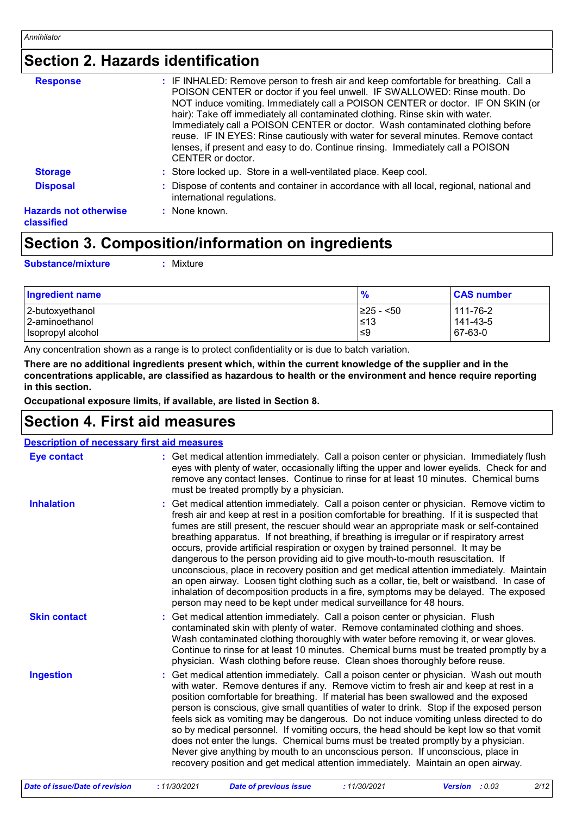## **Section 2. Hazards identification**

| <b>Response</b>                            | : IF INHALED: Remove person to fresh air and keep comfortable for breathing. Call a<br>POISON CENTER or doctor if you feel unwell. IF SWALLOWED: Rinse mouth. Do<br>NOT induce vomiting. Immediately call a POISON CENTER or doctor. IF ON SKIN (or                                                                                                         |
|--------------------------------------------|-------------------------------------------------------------------------------------------------------------------------------------------------------------------------------------------------------------------------------------------------------------------------------------------------------------------------------------------------------------|
|                                            | hair): Take off immediately all contaminated clothing. Rinse skin with water.<br>Immediately call a POISON CENTER or doctor. Wash contaminated clothing before<br>reuse. IF IN EYES: Rinse cautiously with water for several minutes. Remove contact<br>lenses, if present and easy to do. Continue rinsing. Immediately call a POISON<br>CENTER or doctor. |
| <b>Storage</b>                             | : Store locked up. Store in a well-ventilated place. Keep cool.                                                                                                                                                                                                                                                                                             |
| <b>Disposal</b>                            | : Dispose of contents and container in accordance with all local, regional, national and<br>international regulations.                                                                                                                                                                                                                                      |
| <b>Hazards not otherwise</b><br>classified | $:$ None known.                                                                                                                                                                                                                                                                                                                                             |

# **Section 3. Composition/information on ingredients**

**Substance/mixture :**

Mixture

| <b>Ingredient name</b> | %               | <b>CAS number</b> |
|------------------------|-----------------|-------------------|
| 2-butoxyethanol        | $\geq$ 25 - <50 | 111-76-2          |
| 2-aminoethanol         | $\leq 13$       | 141-43-5          |
| Isopropyl alcohol      | 9≥ا             | 67-63-0           |

Any concentration shown as a range is to protect confidentiality or is due to batch variation.

**There are no additional ingredients present which, within the current knowledge of the supplier and in the concentrations applicable, are classified as hazardous to health or the environment and hence require reporting in this section.**

**Occupational exposure limits, if available, are listed in Section 8.**

### **Section 4. First aid measures**

| <b>Description of necessary first aid measures</b> |                                                                                                                                                                                                                                                                                                                                                                                                                                                                                                                                                                                                                                                                                                                                                                                                                                                                                                              |
|----------------------------------------------------|--------------------------------------------------------------------------------------------------------------------------------------------------------------------------------------------------------------------------------------------------------------------------------------------------------------------------------------------------------------------------------------------------------------------------------------------------------------------------------------------------------------------------------------------------------------------------------------------------------------------------------------------------------------------------------------------------------------------------------------------------------------------------------------------------------------------------------------------------------------------------------------------------------------|
| <b>Eye contact</b>                                 | : Get medical attention immediately. Call a poison center or physician. Immediately flush<br>eyes with plenty of water, occasionally lifting the upper and lower eyelids. Check for and<br>remove any contact lenses. Continue to rinse for at least 10 minutes. Chemical burns<br>must be treated promptly by a physician.                                                                                                                                                                                                                                                                                                                                                                                                                                                                                                                                                                                  |
| <b>Inhalation</b>                                  | : Get medical attention immediately. Call a poison center or physician. Remove victim to<br>fresh air and keep at rest in a position comfortable for breathing. If it is suspected that<br>fumes are still present, the rescuer should wear an appropriate mask or self-contained<br>breathing apparatus. If not breathing, if breathing is irregular or if respiratory arrest<br>occurs, provide artificial respiration or oxygen by trained personnel. It may be<br>dangerous to the person providing aid to give mouth-to-mouth resuscitation. If<br>unconscious, place in recovery position and get medical attention immediately. Maintain<br>an open airway. Loosen tight clothing such as a collar, tie, belt or waistband. In case of<br>inhalation of decomposition products in a fire, symptoms may be delayed. The exposed<br>person may need to be kept under medical surveillance for 48 hours. |
| <b>Skin contact</b>                                | : Get medical attention immediately. Call a poison center or physician. Flush<br>contaminated skin with plenty of water. Remove contaminated clothing and shoes.<br>Wash contaminated clothing thoroughly with water before removing it, or wear gloves.<br>Continue to rinse for at least 10 minutes. Chemical burns must be treated promptly by a<br>physician. Wash clothing before reuse. Clean shoes thoroughly before reuse.                                                                                                                                                                                                                                                                                                                                                                                                                                                                           |
| <b>Ingestion</b>                                   | : Get medical attention immediately. Call a poison center or physician. Wash out mouth<br>with water. Remove dentures if any. Remove victim to fresh air and keep at rest in a<br>position comfortable for breathing. If material has been swallowed and the exposed<br>person is conscious, give small quantities of water to drink. Stop if the exposed person<br>feels sick as vomiting may be dangerous. Do not induce vomiting unless directed to do<br>so by medical personnel. If vomiting occurs, the head should be kept low so that vomit<br>does not enter the lungs. Chemical burns must be treated promptly by a physician.<br>Never give anything by mouth to an unconscious person. If unconscious, place in<br>recovery position and get medical attention immediately. Maintain an open airway.                                                                                             |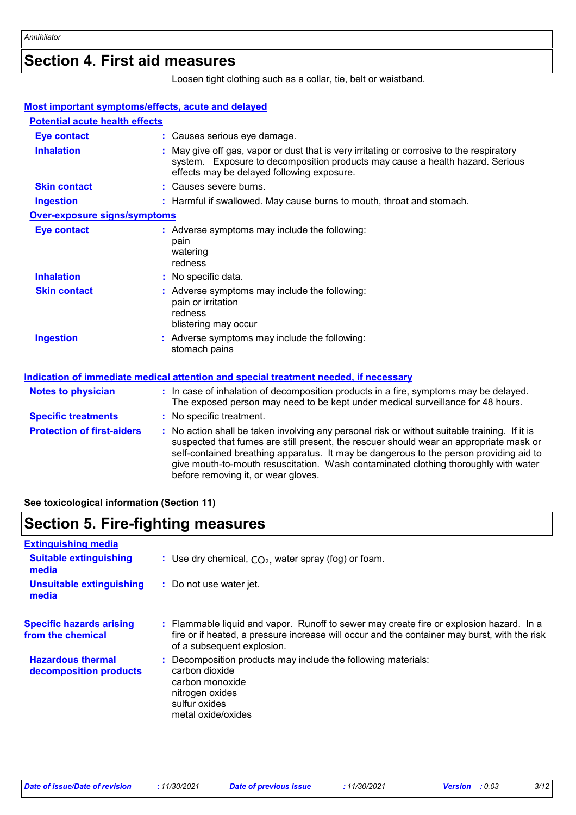### **Section 4. First aid measures**

Loosen tight clothing such as a collar, tie, belt or waistband.

| <b>Most important symptoms/effects, acute and delayed</b> |                                                                                                                                                                                                                                                                                                                                                                                                                 |
|-----------------------------------------------------------|-----------------------------------------------------------------------------------------------------------------------------------------------------------------------------------------------------------------------------------------------------------------------------------------------------------------------------------------------------------------------------------------------------------------|
| <b>Potential acute health effects</b>                     |                                                                                                                                                                                                                                                                                                                                                                                                                 |
| <b>Eye contact</b>                                        | : Causes serious eye damage.                                                                                                                                                                                                                                                                                                                                                                                    |
| <b>Inhalation</b>                                         | : May give off gas, vapor or dust that is very irritating or corrosive to the respiratory<br>system. Exposure to decomposition products may cause a health hazard. Serious<br>effects may be delayed following exposure.                                                                                                                                                                                        |
| <b>Skin contact</b>                                       | : Causes severe burns.                                                                                                                                                                                                                                                                                                                                                                                          |
| <b>Ingestion</b>                                          | : Harmful if swallowed. May cause burns to mouth, throat and stomach.                                                                                                                                                                                                                                                                                                                                           |
| <b>Over-exposure signs/symptoms</b>                       |                                                                                                                                                                                                                                                                                                                                                                                                                 |
| <b>Eye contact</b>                                        | : Adverse symptoms may include the following:<br>pain<br>watering<br>redness                                                                                                                                                                                                                                                                                                                                    |
| <b>Inhalation</b>                                         | : No specific data.                                                                                                                                                                                                                                                                                                                                                                                             |
| <b>Skin contact</b>                                       | : Adverse symptoms may include the following:<br>pain or irritation<br>redness<br>blistering may occur                                                                                                                                                                                                                                                                                                          |
| <b>Ingestion</b>                                          | : Adverse symptoms may include the following:<br>stomach pains                                                                                                                                                                                                                                                                                                                                                  |
|                                                           | Indication of immediate medical attention and special treatment needed, if necessary                                                                                                                                                                                                                                                                                                                            |
| <b>Notes to physician</b>                                 | : In case of inhalation of decomposition products in a fire, symptoms may be delayed.<br>The exposed person may need to be kept under medical surveillance for 48 hours.                                                                                                                                                                                                                                        |
| <b>Specific treatments</b>                                | : No specific treatment.                                                                                                                                                                                                                                                                                                                                                                                        |
| <b>Protection of first-aiders</b>                         | : No action shall be taken involving any personal risk or without suitable training. If it is<br>suspected that fumes are still present, the rescuer should wear an appropriate mask or<br>self-contained breathing apparatus. It may be dangerous to the person providing aid to<br>give mouth-to-mouth resuscitation. Wash contaminated clothing thoroughly with water<br>before removing it, or wear gloves. |

**See toxicological information (Section 11)**

### **Section 5. Fire-fighting measures**

| <b>Extinguishing media</b>                           |                                                                                                                                                                                                                       |
|------------------------------------------------------|-----------------------------------------------------------------------------------------------------------------------------------------------------------------------------------------------------------------------|
| <b>Suitable extinguishing</b><br>media               | : Use dry chemical, $CO2$ , water spray (fog) or foam.                                                                                                                                                                |
| <b>Unsuitable extinguishing</b><br>media             | : Do not use water jet.                                                                                                                                                                                               |
| <b>Specific hazards arising</b><br>from the chemical | : Flammable liquid and vapor. Runoff to sewer may create fire or explosion hazard. In a<br>fire or if heated, a pressure increase will occur and the container may burst, with the risk<br>of a subsequent explosion. |
| <b>Hazardous thermal</b><br>decomposition products   | Decomposition products may include the following materials:<br>carbon dioxide<br>carbon monoxide<br>nitrogen oxides<br>sulfur oxides<br>metal oxide/oxides                                                            |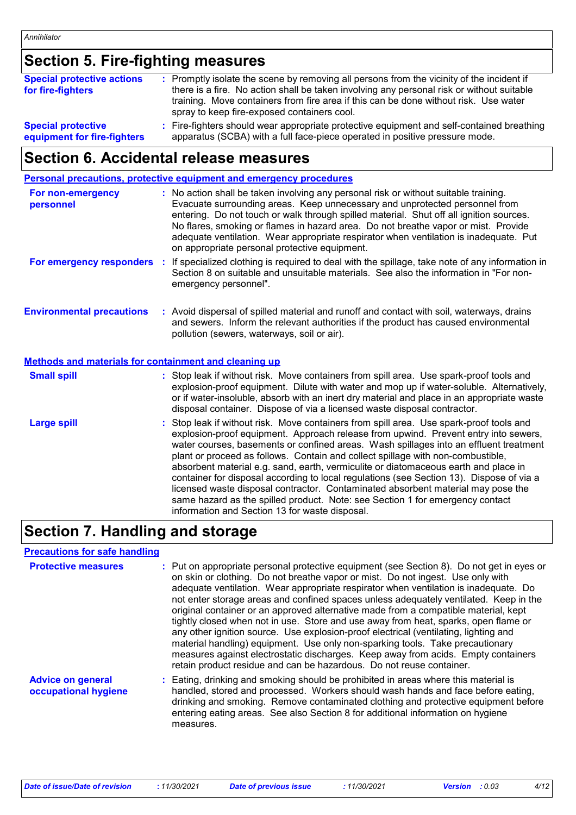## **Section 5. Fire-fighting measures**

| <b>Special protective actions</b><br>for fire-fighters | : Promptly isolate the scene by removing all persons from the vicinity of the incident if<br>there is a fire. No action shall be taken involving any personal risk or without suitable<br>training. Move containers from fire area if this can be done without risk. Use water<br>spray to keep fire-exposed containers cool. |
|--------------------------------------------------------|-------------------------------------------------------------------------------------------------------------------------------------------------------------------------------------------------------------------------------------------------------------------------------------------------------------------------------|
| <b>Special protective</b>                              | : Fire-fighters should wear appropriate protective equipment and self-contained breathing                                                                                                                                                                                                                                     |
| equipment for fire-fighters                            | apparatus (SCBA) with a full face-piece operated in positive pressure mode.                                                                                                                                                                                                                                                   |

### **Section 6. Accidental release measures**

### **Personal precautions, protective equipment and emergency procedures**

| For non-emergency<br>personnel                               | : No action shall be taken involving any personal risk or without suitable training.<br>Evacuate surrounding areas. Keep unnecessary and unprotected personnel from<br>entering. Do not touch or walk through spilled material. Shut off all ignition sources.<br>No flares, smoking or flames in hazard area. Do not breathe vapor or mist. Provide<br>adequate ventilation. Wear appropriate respirator when ventilation is inadequate. Put<br>on appropriate personal protective equipment.                                                                                                                                                                                                                     |
|--------------------------------------------------------------|--------------------------------------------------------------------------------------------------------------------------------------------------------------------------------------------------------------------------------------------------------------------------------------------------------------------------------------------------------------------------------------------------------------------------------------------------------------------------------------------------------------------------------------------------------------------------------------------------------------------------------------------------------------------------------------------------------------------|
| For emergency responders                                     | : If specialized clothing is required to deal with the spillage, take note of any information in<br>Section 8 on suitable and unsuitable materials. See also the information in "For non-<br>emergency personnel".                                                                                                                                                                                                                                                                                                                                                                                                                                                                                                 |
| <b>Environmental precautions</b>                             | : Avoid dispersal of spilled material and runoff and contact with soil, waterways, drains<br>and sewers. Inform the relevant authorities if the product has caused environmental<br>pollution (sewers, waterways, soil or air).                                                                                                                                                                                                                                                                                                                                                                                                                                                                                    |
| <b>Methods and materials for containment and cleaning up</b> |                                                                                                                                                                                                                                                                                                                                                                                                                                                                                                                                                                                                                                                                                                                    |
| <b>Small spill</b>                                           | : Stop leak if without risk. Move containers from spill area. Use spark-proof tools and<br>explosion-proof equipment. Dilute with water and mop up if water-soluble. Alternatively,<br>or if water-insoluble, absorb with an inert dry material and place in an appropriate waste<br>disposal container. Dispose of via a licensed waste disposal contractor.                                                                                                                                                                                                                                                                                                                                                      |
| <b>Large spill</b>                                           | : Stop leak if without risk. Move containers from spill area. Use spark-proof tools and<br>explosion-proof equipment. Approach release from upwind. Prevent entry into sewers,<br>water courses, basements or confined areas. Wash spillages into an effluent treatment<br>plant or proceed as follows. Contain and collect spillage with non-combustible,<br>absorbent material e.g. sand, earth, vermiculite or diatomaceous earth and place in<br>container for disposal according to local regulations (see Section 13). Dispose of via a<br>licensed waste disposal contractor. Contaminated absorbent material may pose the<br>same hazard as the spilled product. Note: see Section 1 for emergency contact |

# **Section 7. Handling and storage**

#### **Precautions for safe handling**

| <b>Protective measures</b>                       | : Put on appropriate personal protective equipment (see Section 8). Do not get in eyes or<br>on skin or clothing. Do not breathe vapor or mist. Do not ingest. Use only with<br>adequate ventilation. Wear appropriate respirator when ventilation is inadequate. Do<br>not enter storage areas and confined spaces unless adequately ventilated. Keep in the<br>original container or an approved alternative made from a compatible material, kept<br>tightly closed when not in use. Store and use away from heat, sparks, open flame or<br>any other ignition source. Use explosion-proof electrical (ventilating, lighting and<br>material handling) equipment. Use only non-sparking tools. Take precautionary<br>measures against electrostatic discharges. Keep away from acids. Empty containers |
|--------------------------------------------------|-----------------------------------------------------------------------------------------------------------------------------------------------------------------------------------------------------------------------------------------------------------------------------------------------------------------------------------------------------------------------------------------------------------------------------------------------------------------------------------------------------------------------------------------------------------------------------------------------------------------------------------------------------------------------------------------------------------------------------------------------------------------------------------------------------------|
|                                                  | retain product residue and can be hazardous. Do not reuse container.                                                                                                                                                                                                                                                                                                                                                                                                                                                                                                                                                                                                                                                                                                                                      |
| <b>Advice on general</b><br>occupational hygiene | : Eating, drinking and smoking should be prohibited in areas where this material is<br>handled, stored and processed. Workers should wash hands and face before eating,<br>drinking and smoking. Remove contaminated clothing and protective equipment before<br>entering eating areas. See also Section 8 for additional information on hygiene<br>measures.                                                                                                                                                                                                                                                                                                                                                                                                                                             |

information and Section 13 for waste disposal.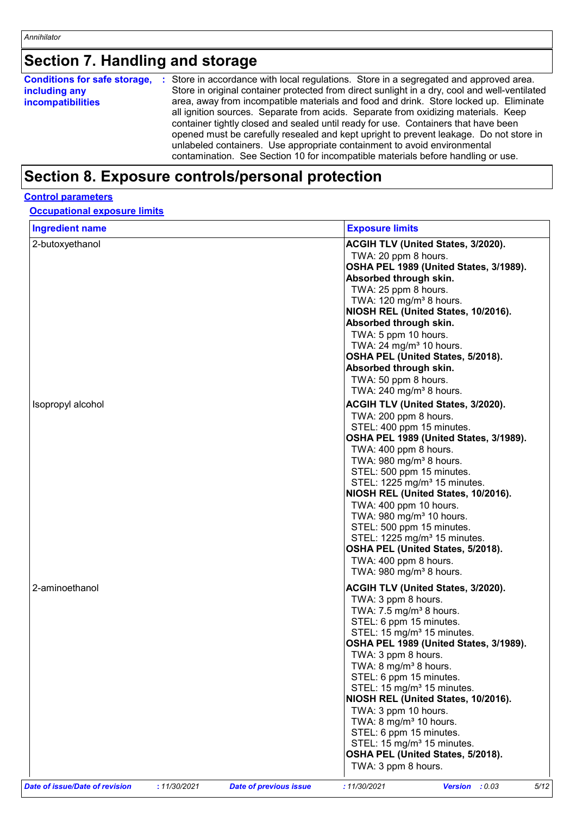# **Section 7. Handling and storage**

| <b>Conditions for safe storage,</b><br>including any<br><i>incompatibilities</i> | : Store in accordance with local regulations. Store in a segregated and approved area.<br>Store in original container protected from direct sunlight in a dry, cool and well-ventilated<br>area, away from incompatible materials and food and drink. Store locked up. Eliminate<br>all ignition sources. Separate from acids. Separate from oxidizing materials. Keep<br>container tightly closed and sealed until ready for use. Containers that have been<br>opened must be carefully resealed and kept upright to prevent leakage. Do not store in<br>unlabeled containers. Use appropriate containment to avoid environmental<br>contamination. See Section 10 for incompatible materials before handling or use. |
|----------------------------------------------------------------------------------|------------------------------------------------------------------------------------------------------------------------------------------------------------------------------------------------------------------------------------------------------------------------------------------------------------------------------------------------------------------------------------------------------------------------------------------------------------------------------------------------------------------------------------------------------------------------------------------------------------------------------------------------------------------------------------------------------------------------|
|----------------------------------------------------------------------------------|------------------------------------------------------------------------------------------------------------------------------------------------------------------------------------------------------------------------------------------------------------------------------------------------------------------------------------------------------------------------------------------------------------------------------------------------------------------------------------------------------------------------------------------------------------------------------------------------------------------------------------------------------------------------------------------------------------------------|

### **Section 8. Exposure controls/personal protection**

#### **Control parameters**

| <b>Occupational exposure limits</b> |  |
|-------------------------------------|--|
|-------------------------------------|--|

| <b>Ingredient name</b> | <b>Exposure limits</b>                                       |
|------------------------|--------------------------------------------------------------|
| 2-butoxyethanol        | ACGIH TLV (United States, 3/2020).                           |
|                        | TWA: 20 ppm 8 hours.                                         |
|                        | OSHA PEL 1989 (United States, 3/1989).                       |
|                        | Absorbed through skin.                                       |
|                        | TWA: 25 ppm 8 hours.                                         |
|                        | TWA: $120$ mg/m <sup>3</sup> 8 hours.                        |
|                        | NIOSH REL (United States, 10/2016).                          |
|                        | Absorbed through skin.                                       |
|                        | TWA: 5 ppm 10 hours.                                         |
|                        | TWA: 24 mg/m <sup>3</sup> 10 hours.                          |
|                        | OSHA PEL (United States, 5/2018).                            |
|                        | Absorbed through skin.                                       |
|                        | TWA: 50 ppm 8 hours.                                         |
|                        | TWA: 240 mg/m <sup>3</sup> 8 hours.                          |
| Isopropyl alcohol      | <b>ACGIH TLV (United States, 3/2020).</b>                    |
|                        | TWA: 200 ppm 8 hours.                                        |
|                        | STEL: 400 ppm 15 minutes.                                    |
|                        | OSHA PEL 1989 (United States, 3/1989).                       |
|                        | TWA: 400 ppm 8 hours.                                        |
|                        | TWA: 980 mg/m <sup>3</sup> 8 hours.                          |
|                        | STEL: 500 ppm 15 minutes.                                    |
|                        | STEL: 1225 mg/m <sup>3</sup> 15 minutes.                     |
|                        | NIOSH REL (United States, 10/2016).                          |
|                        | TWA: 400 ppm 10 hours.                                       |
|                        | TWA: 980 mg/m <sup>3</sup> 10 hours.                         |
|                        | STEL: 500 ppm 15 minutes.                                    |
|                        | STEL: 1225 mg/m <sup>3</sup> 15 minutes.                     |
|                        | OSHA PEL (United States, 5/2018).                            |
|                        | TWA: 400 ppm 8 hours.<br>TWA: 980 mg/m <sup>3</sup> 8 hours. |
|                        |                                                              |
| 2-aminoethanol         | ACGIH TLV (United States, 3/2020).                           |
|                        | TWA: 3 ppm 8 hours.                                          |
|                        | TWA: $7.5 \text{ mg/m}^3$ 8 hours.                           |
|                        | STEL: 6 ppm 15 minutes.                                      |
|                        | STEL: 15 mg/m <sup>3</sup> 15 minutes.                       |
|                        | OSHA PEL 1989 (United States, 3/1989).                       |
|                        | TWA: 3 ppm 8 hours.                                          |
|                        | TWA: 8 mg/m <sup>3</sup> 8 hours.                            |
|                        | STEL: 6 ppm 15 minutes.                                      |
|                        | STEL: 15 mg/m <sup>3</sup> 15 minutes.                       |
|                        | NIOSH REL (United States, 10/2016).                          |
|                        | TWA: 3 ppm 10 hours.                                         |
|                        | TWA: $8 \text{ mg/m}^3$ 10 hours.<br>STEL: 6 ppm 15 minutes. |
|                        | STEL: 15 mg/m <sup>3</sup> 15 minutes.                       |
|                        | OSHA PEL (United States, 5/2018).                            |
|                        | TWA: 3 ppm 8 hours.                                          |
|                        |                                                              |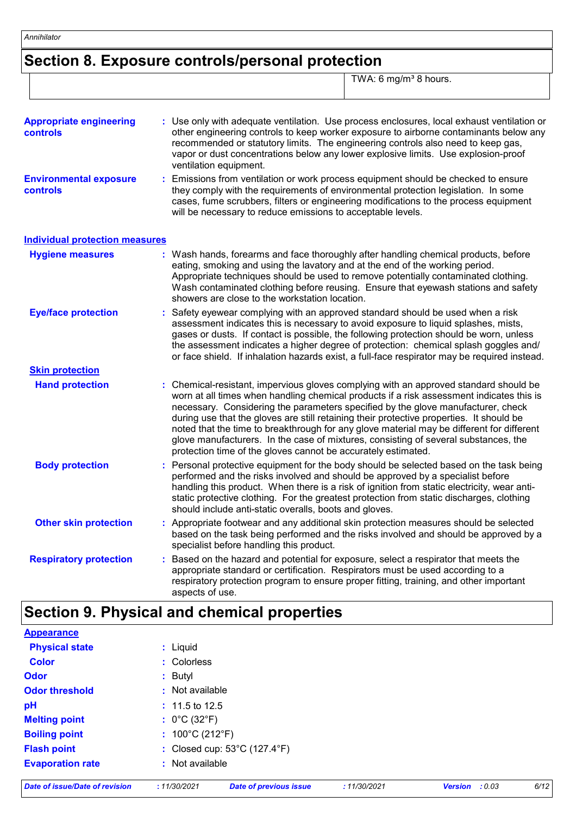# **Section 8. Exposure controls/personal protection**

TWA: 6 mg/m<sup>3</sup> 8 hours.

| <b>Appropriate engineering</b><br><b>controls</b> | : Use only with adequate ventilation. Use process enclosures, local exhaust ventilation or<br>other engineering controls to keep worker exposure to airborne contaminants below any<br>recommended or statutory limits. The engineering controls also need to keep gas,<br>vapor or dust concentrations below any lower explosive limits. Use explosion-proof<br>ventilation equipment.                                                                                                                                                                                                                              |  |  |  |
|---------------------------------------------------|----------------------------------------------------------------------------------------------------------------------------------------------------------------------------------------------------------------------------------------------------------------------------------------------------------------------------------------------------------------------------------------------------------------------------------------------------------------------------------------------------------------------------------------------------------------------------------------------------------------------|--|--|--|
| <b>Environmental exposure</b><br><b>controls</b>  | Emissions from ventilation or work process equipment should be checked to ensure<br>they comply with the requirements of environmental protection legislation. In some<br>cases, fume scrubbers, filters or engineering modifications to the process equipment<br>will be necessary to reduce emissions to acceptable levels.                                                                                                                                                                                                                                                                                        |  |  |  |
| <b>Individual protection measures</b>             |                                                                                                                                                                                                                                                                                                                                                                                                                                                                                                                                                                                                                      |  |  |  |
| <b>Hygiene measures</b>                           | : Wash hands, forearms and face thoroughly after handling chemical products, before<br>eating, smoking and using the lavatory and at the end of the working period.<br>Appropriate techniques should be used to remove potentially contaminated clothing.<br>Wash contaminated clothing before reusing. Ensure that eyewash stations and safety<br>showers are close to the workstation location.                                                                                                                                                                                                                    |  |  |  |
| <b>Eye/face protection</b>                        | Safety eyewear complying with an approved standard should be used when a risk<br>assessment indicates this is necessary to avoid exposure to liquid splashes, mists,<br>gases or dusts. If contact is possible, the following protection should be worn, unless<br>the assessment indicates a higher degree of protection: chemical splash goggles and/<br>or face shield. If inhalation hazards exist, a full-face respirator may be required instead.                                                                                                                                                              |  |  |  |
| <b>Skin protection</b>                            |                                                                                                                                                                                                                                                                                                                                                                                                                                                                                                                                                                                                                      |  |  |  |
| <b>Hand protection</b>                            | Chemical-resistant, impervious gloves complying with an approved standard should be<br>worn at all times when handling chemical products if a risk assessment indicates this is<br>necessary. Considering the parameters specified by the glove manufacturer, check<br>during use that the gloves are still retaining their protective properties. It should be<br>noted that the time to breakthrough for any glove material may be different for different<br>glove manufacturers. In the case of mixtures, consisting of several substances, the<br>protection time of the gloves cannot be accurately estimated. |  |  |  |
| <b>Body protection</b>                            | Personal protective equipment for the body should be selected based on the task being<br>t.<br>performed and the risks involved and should be approved by a specialist before<br>handling this product. When there is a risk of ignition from static electricity, wear anti-<br>static protective clothing. For the greatest protection from static discharges, clothing<br>should include anti-static overalls, boots and gloves.                                                                                                                                                                                   |  |  |  |
| <b>Other skin protection</b>                      | : Appropriate footwear and any additional skin protection measures should be selected<br>based on the task being performed and the risks involved and should be approved by a<br>specialist before handling this product.                                                                                                                                                                                                                                                                                                                                                                                            |  |  |  |
| <b>Respiratory protection</b>                     | Based on the hazard and potential for exposure, select a respirator that meets the<br>appropriate standard or certification. Respirators must be used according to a<br>respiratory protection program to ensure proper fitting, training, and other important<br>aspects of use.                                                                                                                                                                                                                                                                                                                                    |  |  |  |

### **Section 9. Physical and chemical properties**

| <b>Appearance</b>              |                                      |                                                   |              |                          |      |
|--------------------------------|--------------------------------------|---------------------------------------------------|--------------|--------------------------|------|
| <b>Physical state</b>          | $:$ Liquid                           |                                                   |              |                          |      |
| <b>Color</b>                   | : Colorless                          |                                                   |              |                          |      |
| <b>Odor</b>                    | : Butyl                              |                                                   |              |                          |      |
| <b>Odor threshold</b>          | : Not available                      |                                                   |              |                          |      |
| pH                             | $: 11.5$ to 12.5                     |                                                   |              |                          |      |
| <b>Melting point</b>           | : $0^{\circ}$ C (32 $^{\circ}$ F)    |                                                   |              |                          |      |
| <b>Boiling point</b>           | : $100^{\circ}$ C (212 $^{\circ}$ F) |                                                   |              |                          |      |
| <b>Flash point</b>             |                                      | : Closed cup: $53^{\circ}$ C (127.4 $^{\circ}$ F) |              |                          |      |
| <b>Evaporation rate</b>        | : Not available                      |                                                   |              |                          |      |
| Date of issue/Date of revision | : 11/30/2021                         | <b>Date of previous issue</b>                     | : 11/30/2021 | <b>Version</b><br>: 0.03 | 6/12 |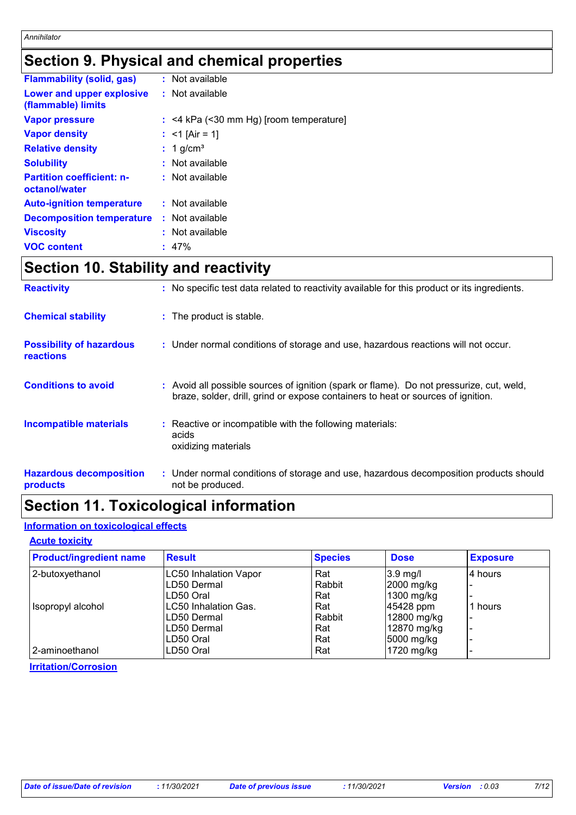# **Section 9. Physical and chemical properties**

| <b>Flammability (solid, gas)</b>                  | : Not available                           |
|---------------------------------------------------|-------------------------------------------|
| Lower and upper explosive<br>(flammable) limits   | : Not available                           |
| <b>Vapor pressure</b>                             | $:$ <4 kPa (<30 mm Hg) [room temperature] |
| <b>Vapor density</b>                              | : $<$ 1 [Air = 1]                         |
| <b>Relative density</b>                           | $: 1$ g/cm <sup>3</sup>                   |
| <b>Solubility</b>                                 | $:$ Not available                         |
| <b>Partition coefficient: n-</b><br>octanol/water | $:$ Not available                         |
| <b>Auto-ignition temperature</b>                  | : Not available                           |
| <b>Decomposition temperature</b>                  | : Not available                           |
| <b>Viscosity</b>                                  | $:$ Not available                         |
| <b>VOC content</b>                                | $: 47\%$                                  |

## **Section 10. Stability and reactivity**

| <b>Reactivity</b>                            | : No specific test data related to reactivity available for this product or its ingredients.                                                                                 |  |
|----------------------------------------------|------------------------------------------------------------------------------------------------------------------------------------------------------------------------------|--|
| <b>Chemical stability</b>                    | : The product is stable.                                                                                                                                                     |  |
| <b>Possibility of hazardous</b><br>reactions | : Under normal conditions of storage and use, hazardous reactions will not occur.                                                                                            |  |
| <b>Conditions to avoid</b>                   | : Avoid all possible sources of ignition (spark or flame). Do not pressurize, cut, weld,<br>braze, solder, drill, grind or expose containers to heat or sources of ignition. |  |
| <b>Incompatible materials</b>                | : Reactive or incompatible with the following materials:<br>acids<br>oxidizing materials                                                                                     |  |
| <b>Hazardous decomposition</b><br>products   | : Under normal conditions of storage and use, hazardous decomposition products should<br>not be produced.                                                                    |  |

# **Section 11. Toxicological information**

### **Information on toxicological effects**

#### **Acute toxicity**

| <b>Product/ingredient name</b> | <b>Result</b>         | <b>Species</b> | <b>Dose</b> | <b>Exposure</b> |
|--------------------------------|-----------------------|----------------|-------------|-----------------|
| 2-butoxyethanol                | LC50 Inhalation Vapor | Rat            | $3.9$ mg/l  | 4 hours         |
|                                | LD50 Dermal           | Rabbit         | 2000 mg/kg  |                 |
|                                | LD50 Oral             | Rat            | 1300 mg/kg  |                 |
| Isopropyl alcohol              | LC50 Inhalation Gas.  | Rat            | 45428 ppm   | 1 hours         |
|                                | ILD50 Dermal          | Rabbit         | 12800 mg/kg |                 |
|                                | LD50 Dermal           | Rat            | 12870 mg/kg |                 |
|                                | LD50 Oral             | Rat            | 5000 mg/kg  |                 |
| 2-aminoethanol                 | LD50 Oral             | Rat            | 1720 mg/kg  |                 |

#### **Irritation/Corrosion**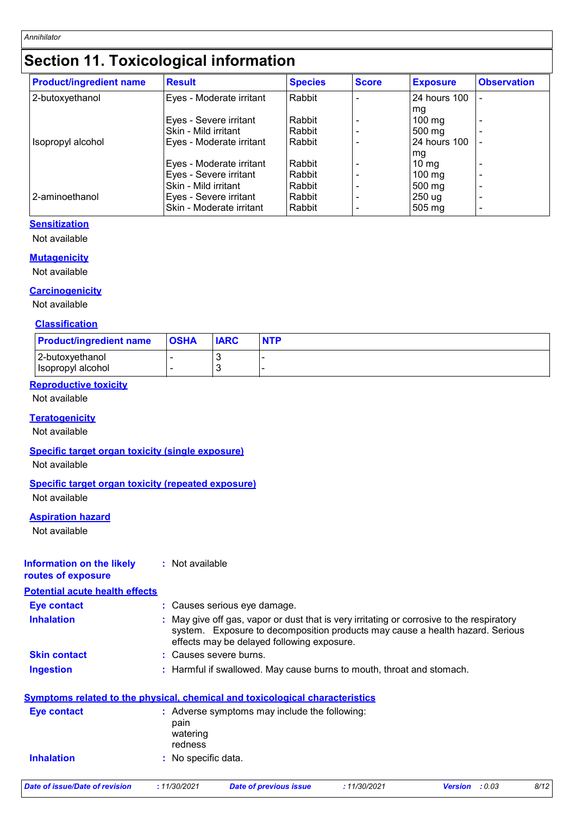# **Section 11. Toxicological information**

| <b>Product/ingredient name</b> | <b>Result</b>            | <b>Species</b> | <b>Score</b> | <b>Exposure</b>  | <b>Observation</b> |
|--------------------------------|--------------------------|----------------|--------------|------------------|--------------------|
| 2-butoxyethanol                | Eyes - Moderate irritant | Rabbit         |              | 24 hours 100     |                    |
|                                |                          |                |              | mg               |                    |
|                                | Eyes - Severe irritant   | Rabbit         |              | $100 \text{ mg}$ |                    |
|                                | Skin - Mild irritant     | Rabbit         |              | $500 \text{ mg}$ | ۰                  |
| Isopropyl alcohol              | Eyes - Moderate irritant | Rabbit         |              | 24 hours 100     |                    |
|                                |                          |                |              | mg               |                    |
|                                | Eyes - Moderate irritant | Rabbit         |              | $10 \text{ mg}$  | ٠                  |
|                                | Eyes - Severe irritant   | Rabbit         |              | $100 \text{ mg}$ | ٠                  |
|                                | Skin - Mild irritant     | Rabbit         |              | $500 \text{ mg}$ | ٠                  |
| 2-aminoethanol                 | Eyes - Severe irritant   | Rabbit         |              | 250 ug           | ۰                  |
|                                | Skin - Moderate irritant | Rabbit         |              | $505 \text{ mg}$ | ٠                  |

#### **Sensitization**

Not available

#### **Mutagenicity**

Not available

#### **Carcinogenicity**

Not available

#### **Classification**

| <b>Product/ingredient name</b>         | <b>OSHA</b> | <b>IARC</b> | <b>NTP</b> |
|----------------------------------------|-------------|-------------|------------|
| 12-butoxvethanol<br> Isopropyl alcohol |             |             |            |

#### **Reproductive toxicity**

Not available

#### **Teratogenicity**

Not available

#### **Specific target organ toxicity (single exposure)**

Not available

#### **Specific target organ toxicity (repeated exposure)**

Not available

#### **Aspiration hazard**

Not available

#### **Information on the likely routes of exposure :** Not available

**Potential acute health effects**

| Eye contact         | : Causes serious eye damage.                                                                                                                                                                                             |
|---------------------|--------------------------------------------------------------------------------------------------------------------------------------------------------------------------------------------------------------------------|
| <b>Inhalation</b>   | : May give off gas, vapor or dust that is very irritating or corrosive to the respiratory<br>system. Exposure to decomposition products may cause a health hazard. Serious<br>effects may be delayed following exposure. |
| <b>Skin contact</b> | : Causes severe burns.                                                                                                                                                                                                   |
| <b>Ingestion</b>    | : Harmful if swallowed. May cause burns to mouth, throat and stomach.                                                                                                                                                    |
|                     | <b>Symptoms related to the physical, chemical and toxicological characteristics</b>                                                                                                                                      |
| <b>Eye contact</b>  | : Adverse symptoms may include the following:<br>pain<br>watering<br>redness                                                                                                                                             |
| <b>Inhalation</b>   | : No specific data.                                                                                                                                                                                                      |

*Date of issue/Date of revision* **:** *11/30/2021 Date of previous issue : 11/30/2021 Version : 0.03 8/12*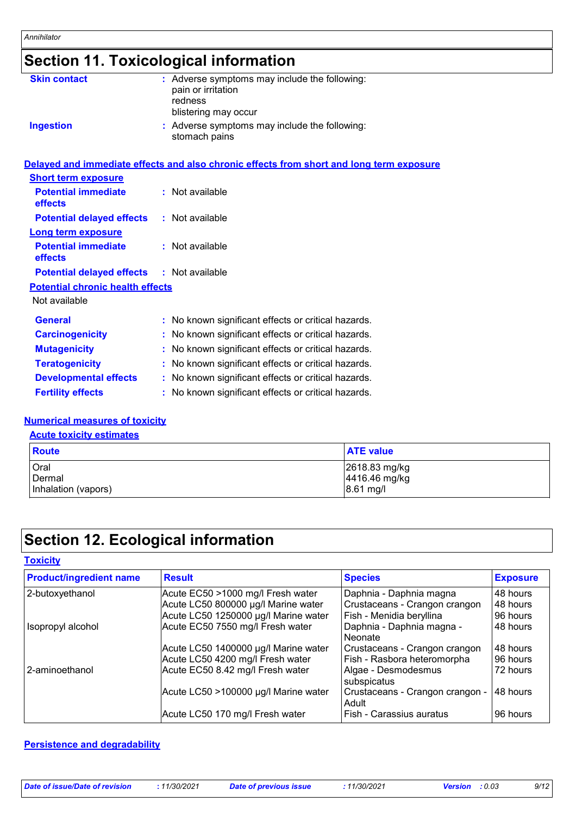# **Section 11. Toxicological information**

| <b>Skin contact</b>                          | : Adverse symptoms may include the following:<br>pain or irritation<br>redness<br>blistering may occur |
|----------------------------------------------|--------------------------------------------------------------------------------------------------------|
| <b>Ingestion</b>                             | : Adverse symptoms may include the following:<br>stomach pains                                         |
|                                              | Delayed and immediate effects and also chronic effects from short and long term exposure               |
| <b>Short term exposure</b>                   |                                                                                                        |
| <b>Potential immediate</b><br><b>effects</b> | : Not available                                                                                        |
| <b>Potential delayed effects</b>             | : Not available                                                                                        |
| <b>Long term exposure</b>                    |                                                                                                        |
| <b>Potential immediate</b><br>effects        | : Not available                                                                                        |
| <b>Potential delayed effects</b>             | : Not available                                                                                        |
| <b>Potential chronic health effects</b>      |                                                                                                        |
| Not available                                |                                                                                                        |
| <b>General</b>                               | : No known significant effects or critical hazards.                                                    |
| <b>Carcinogenicity</b>                       | : No known significant effects or critical hazards.                                                    |
| <b>Mutagenicity</b>                          | : No known significant effects or critical hazards.                                                    |
| <b>Teratogenicity</b>                        | : No known significant effects or critical hazards.                                                    |
| <b>Developmental effects</b>                 | : No known significant effects or critical hazards.                                                    |
| <b>Fertility effects</b>                     | : No known significant effects or critical hazards.                                                    |

#### **Numerical measures of toxicity**

#### **Acute toxicity estimates**

| <b>Route</b>        | <b>ATE value</b> |
|---------------------|------------------|
| Oral                | 2618.83 mg/kg    |
| Dermal              | 4416.46 mg/kg    |
| Inhalation (vapors) | 8.61 mg/l        |

# **Section 12. Ecological information**

| <b>Product/ingredient name</b> | <b>Result</b>                        | <b>Species</b>                           | <b>Exposure</b> |
|--------------------------------|--------------------------------------|------------------------------------------|-----------------|
| 2-butoxyethanol                | Acute EC50 >1000 mg/l Fresh water    | Daphnia - Daphnia magna                  | 48 hours        |
|                                | Acute LC50 800000 µg/l Marine water  | Crustaceans - Crangon crangon            | 48 hours        |
|                                | Acute LC50 1250000 µg/l Marine water | Fish - Menidia beryllina                 | 96 hours        |
| Isopropyl alcohol              | Acute EC50 7550 mg/l Fresh water     | Daphnia - Daphnia magna -<br>Neonate     | 48 hours        |
|                                | Acute LC50 1400000 µg/l Marine water | Crustaceans - Crangon crangon            | 48 hours        |
|                                | Acute LC50 4200 mg/l Fresh water     | Fish - Rasbora heteromorpha              | 96 hours        |
| 2-aminoethanol                 | Acute EC50 8.42 mg/l Fresh water     | Algae - Desmodesmus<br>subspicatus       | 72 hours        |
|                                | Acute LC50 >100000 µg/l Marine water | Crustaceans - Crangon crangon -<br>Adult | 48 hours        |
|                                | Acute LC50 170 mg/l Fresh water      | Fish - Carassius auratus                 | 96 hours        |

#### **Persistence and degradability**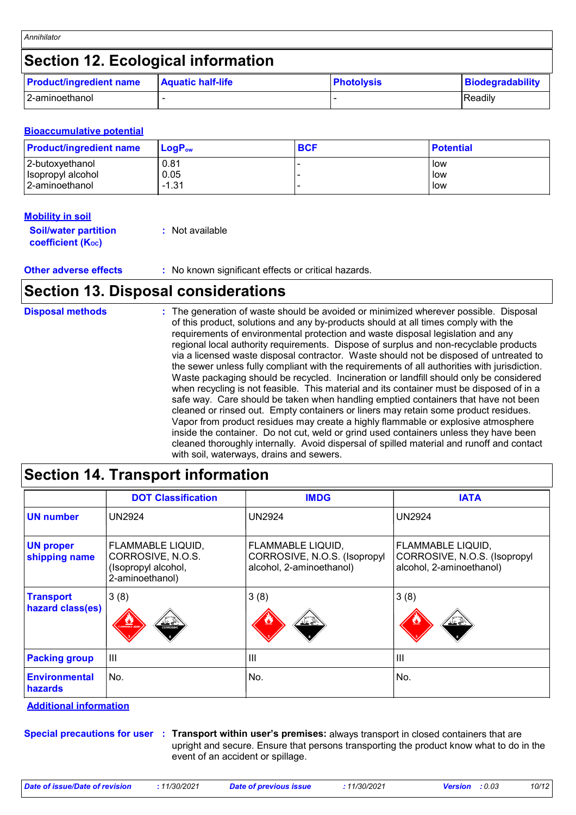# **Section 12. Ecological information**

| <b>Product/ingredient name</b> | <b>Aquatic half-life</b> | <b>Photolysis</b> | Biodegradability |
|--------------------------------|--------------------------|-------------------|------------------|
| 2-aminoethanol                 |                          |                   | IReadilv         |

#### **Bioaccumulative potential**

| <b>Product/ingredient name</b> | $\mathsf{LogP}_\mathsf{ow}$ | <b>BCF</b> | <b>Potential</b> |
|--------------------------------|-----------------------------|------------|------------------|
| 2-butoxyethanol                | 0.81                        |            | low              |
| Isopropyl alcohol              | 0.05                        |            | low              |
| 2-aminoethanol                 | $-1.31$                     |            | low              |

#### **Mobility in soil**

| <b>Soil/water partition</b> | : Not available |
|-----------------------------|-----------------|
| <b>coefficient (Koc)</b>    |                 |

**Other adverse effects** : No known significant effects or critical hazards.

### **Section 13. Disposal considerations**

| <b>Disposal methods</b> | : The generation of waste should be avoided or minimized wherever possible. Disposal<br>of this product, solutions and any by-products should at all times comply with the<br>requirements of environmental protection and waste disposal legislation and any<br>regional local authority requirements. Dispose of surplus and non-recyclable products<br>via a licensed waste disposal contractor. Waste should not be disposed of untreated to<br>the sewer unless fully compliant with the requirements of all authorities with jurisdiction.<br>Waste packaging should be recycled. Incineration or landfill should only be considered<br>when recycling is not feasible. This material and its container must be disposed of in a<br>safe way. Care should be taken when handling emptied containers that have not been<br>cleaned or rinsed out. Empty containers or liners may retain some product residues.<br>Vapor from product residues may create a highly flammable or explosive atmosphere<br>inside the container. Do not cut, weld or grind used containers unless they have been<br>cleaned thoroughly internally. Avoid dispersal of spilled material and runoff and contact |
|-------------------------|------------------------------------------------------------------------------------------------------------------------------------------------------------------------------------------------------------------------------------------------------------------------------------------------------------------------------------------------------------------------------------------------------------------------------------------------------------------------------------------------------------------------------------------------------------------------------------------------------------------------------------------------------------------------------------------------------------------------------------------------------------------------------------------------------------------------------------------------------------------------------------------------------------------------------------------------------------------------------------------------------------------------------------------------------------------------------------------------------------------------------------------------------------------------------------------------|
|                         | with soil, waterways, drains and sewers.                                                                                                                                                                                                                                                                                                                                                                                                                                                                                                                                                                                                                                                                                                                                                                                                                                                                                                                                                                                                                                                                                                                                                       |

# **Section 14. Transport information**

|                                      | <b>DOT Classification</b>                                                        | <b>IMDG</b>                                                                   | <b>IATA</b>                                                                          |
|--------------------------------------|----------------------------------------------------------------------------------|-------------------------------------------------------------------------------|--------------------------------------------------------------------------------------|
| <b>UN number</b>                     | <b>UN2924</b>                                                                    | <b>UN2924</b>                                                                 | <b>UN2924</b>                                                                        |
| <b>UN proper</b><br>shipping name    | FLAMMABLE LIQUID,<br>CORROSIVE, N.O.S.<br>(Isopropyl alcohol,<br>2-aminoethanol) | FLAMMABLE LIQUID,<br>CORROSIVE, N.O.S. (Isopropyl<br>alcohol, 2-aminoethanol) | <b>FLAMMABLE LIQUID,</b><br>CORROSIVE, N.O.S. (Isopropyl<br>alcohol, 2-aminoethanol) |
| <b>Transport</b><br>hazard class(es) | 3(8)<br>ثے ≚ <u>ند</u><br>AMMABLE LIQU<br><b>CORROSVE</b>                        | 3(8)<br>不会                                                                    | 3(8)                                                                                 |
| <b>Packing group</b>                 | $\mathbf{III}$                                                                   | $\mathbf{III}$                                                                | $\mathbf{III}$                                                                       |
| <b>Environmental</b><br>hazards      | No.                                                                              | No.                                                                           | No.                                                                                  |

**Additional information** 

**Special precautions for user Transport within user's premises:** always transport in closed containers that are **:** upright and secure. Ensure that persons transporting the product know what to do in the event of an accident or spillage.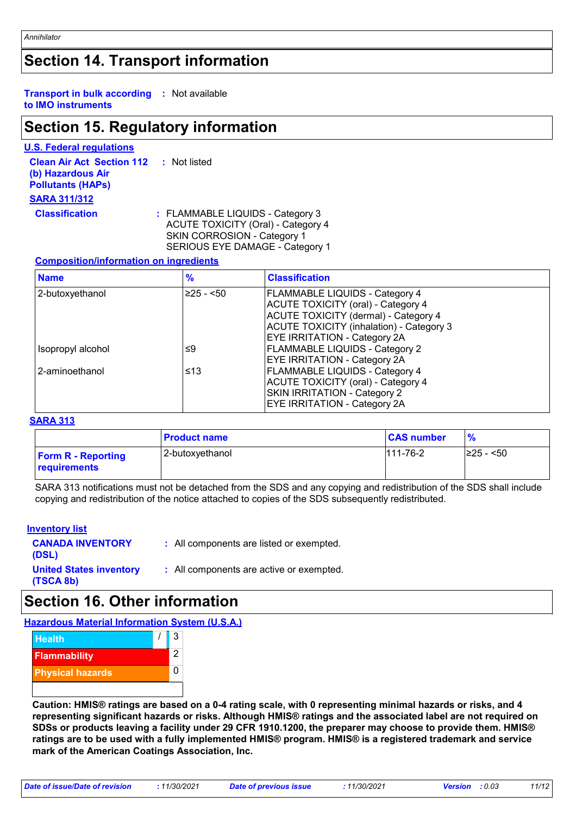### **Section 14. Transport information**

#### **Transport in bulk according :** Not available **to IMO instruments**

### **Section 15. Regulatory information**

#### **U.S. Federal regulations**

**Clean Air Act Section 112 (b) Hazardous Air Pollutants (HAPs) :** Not listed **SARA 311/312 Classification :** FLAMMABLE LIQUIDS - Category 3

ACUTE TOXICITY (Oral) - Category 4 SKIN CORROSION - Category 1 SERIOUS EYE DAMAGE - Category 1

#### **Composition/information on ingredients**

| <b>Name</b>       | $\frac{9}{6}$ | <b>Classification</b>                       |
|-------------------|---------------|---------------------------------------------|
| 2-butoxyethanol   | $≥25 - 50$    | <b>FLAMMABLE LIQUIDS - Category 4</b>       |
|                   |               | <b>ACUTE TOXICITY (oral) - Category 4</b>   |
|                   |               | <b>ACUTE TOXICITY (dermal) - Category 4</b> |
|                   |               | ACUTE TOXICITY (inhalation) - Category 3    |
|                   |               | <b>EYE IRRITATION - Category 2A</b>         |
| Isopropyl alcohol | ≤9            | <b>FLAMMABLE LIQUIDS - Category 2</b>       |
|                   |               | <b>EYE IRRITATION - Category 2A</b>         |
| 2-aminoethanol    | ≤13           | FLAMMABLE LIQUIDS - Category 4              |
|                   |               | <b>ACUTE TOXICITY (oral) - Category 4</b>   |
|                   |               | <b>SKIN IRRITATION - Category 2</b>         |
|                   |               | <b>EYE IRRITATION - Category 2A</b>         |

#### **SARA 313**

|                                           | <b>Product name</b> | <b>CAS number</b> | $\%$            |
|-------------------------------------------|---------------------|-------------------|-----------------|
| <b>Form R - Reporting</b><br>requirements | l 2-butoxvethanol   | $111 - 76 - 2$    | $\geq$ 25 - <50 |

SARA 313 notifications must not be detached from the SDS and any copying and redistribution of the SDS shall include copying and redistribution of the notice attached to copies of the SDS subsequently redistributed.

#### **Inventory list**

**CANADA INVENTORY (DSL) :** All components are listed or exempted. **United States inventory (TSCA 8b) :** All components are active or exempted.

### **Section 16. Other information**

**Hazardous Material Information System (U.S.A.)**



**Caution: HMIS® ratings are based on a 0-4 rating scale, with 0 representing minimal hazards or risks, and 4 representing significant hazards or risks. Although HMIS® ratings and the associated label are not required on SDSs or products leaving a facility under 29 CFR 1910.1200, the preparer may choose to provide them. HMIS® ratings are to be used with a fully implemented HMIS® program. HMIS® is a registered trademark and service mark of the American Coatings Association, Inc.**